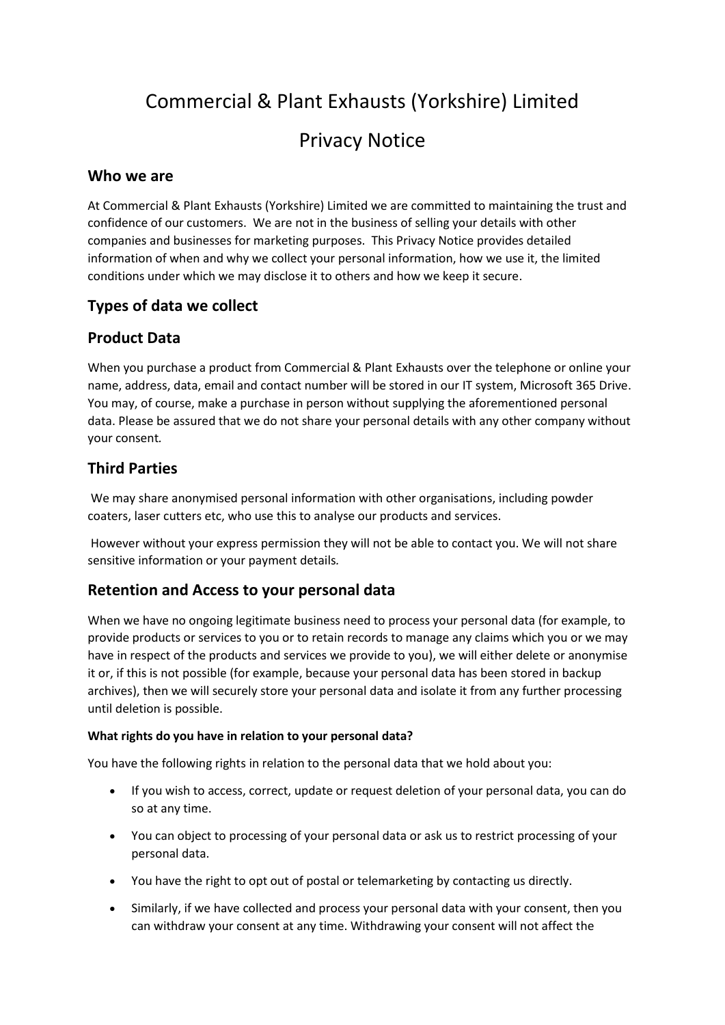# Commercial & Plant Exhausts (Yorkshire) Limited Privacy Notice

#### **Who we are**

At Commercial & Plant Exhausts (Yorkshire) Limited we are committed to maintaining the trust and confidence of our customers. We are not in the business of selling your details with other companies and businesses for marketing purposes. This Privacy Notice provides detailed information of when and why we collect your personal information, how we use it, the limited conditions under which we may disclose it to others and how we keep it secure.

#### **Types of data we collect**

# **Product Data**

When you purchase a product from Commercial & Plant Exhausts over the telephone or online your name, address, data, email and contact number will be stored in our IT system, Microsoft 365 Drive. You may, of course, make a purchase in person without supplying the aforementioned personal data. Please be assured that we do not share your personal details with any other company without your consent*.*

# **Third Parties**

We may share anonymised personal information with other organisations, including powder coaters, laser cutters etc, who use this to analyse our products and services.

However without your express permission they will not be able to contact you. We will not share sensitive information or your payment details*.*

# **Retention and Access to your personal data**

When we have no ongoing legitimate business need to process your personal data (for example, to provide products or services to you or to retain records to manage any claims which you or we may have in respect of the products and services we provide to you), we will either delete or anonymise it or, if this is not possible (for example, because your personal data has been stored in backup archives), then we will securely store your personal data and isolate it from any further processing until deletion is possible.

#### **What rights do you have in relation to your personal data?**

You have the following rights in relation to the personal data that we hold about you:

- If you wish to access, correct, update or request deletion of your personal data, you can do so at any time.
- You can object to processing of your personal data or ask us to restrict processing of your personal data.
- You have the right to opt out of postal or telemarketing by contacting us directly.
- Similarly, if we have collected and process your personal data with your consent, then you can withdraw your consent at any time. Withdrawing your consent will not affect the